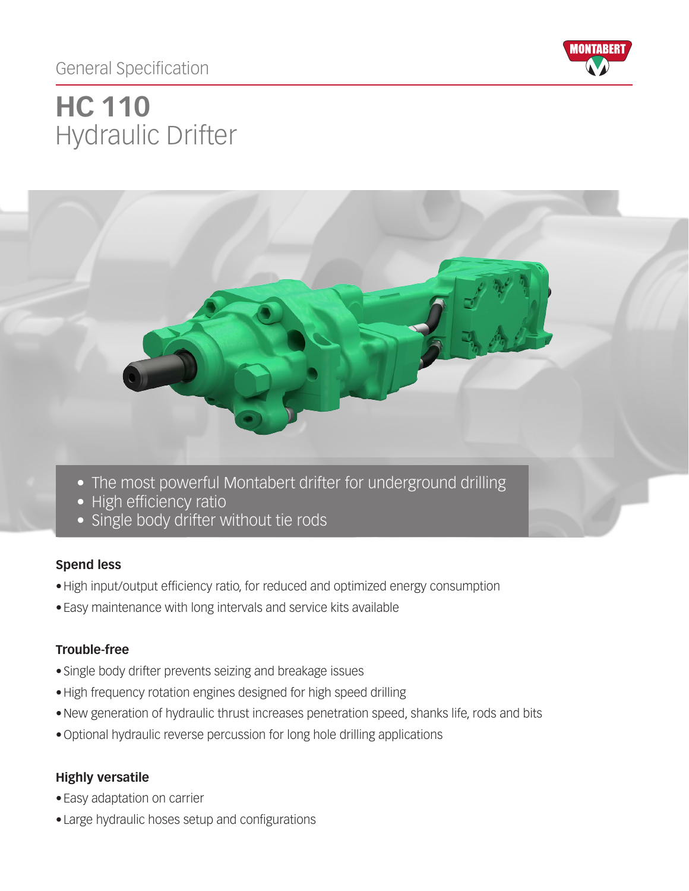# General Specification



# Hydraulic Drifter **HC 110**



## **Spend less**

- •High input/output efficiency ratio, for reduced and optimized energy consumption
- Easy maintenance with long intervals and service kits available

#### **Trouble-free**

- Single body drifter prevents seizing and breakage issues
- •High frequency rotation engines designed for high speed drilling
- •New generation of hydraulic thrust increases penetration speed, shanks life, rods and bits
- •Optional hydraulic reverse percussion for long hole drilling applications

## **Highly versatile**

- Easy adaptation on carrier
- Large hydraulic hoses setup and configurations